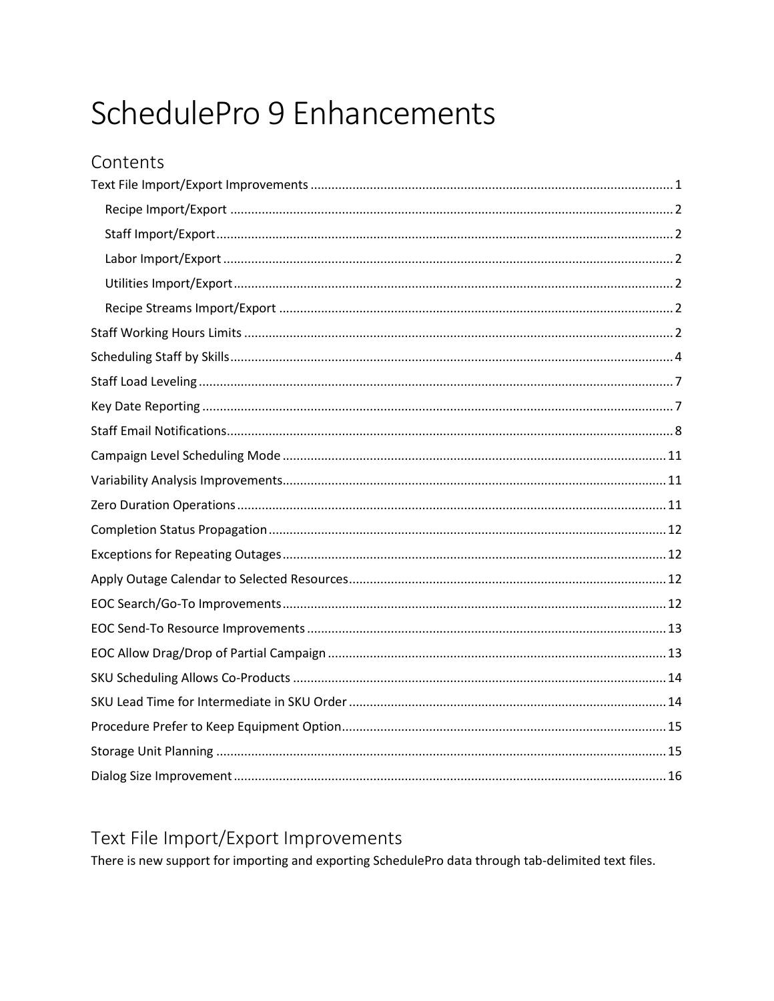# SchedulePro 9 Enhancements

## <span id="page-0-0"></span>Text File Import/Export Improvements

There is new support for importing and exporting SchedulePro data through tab-delimited text files.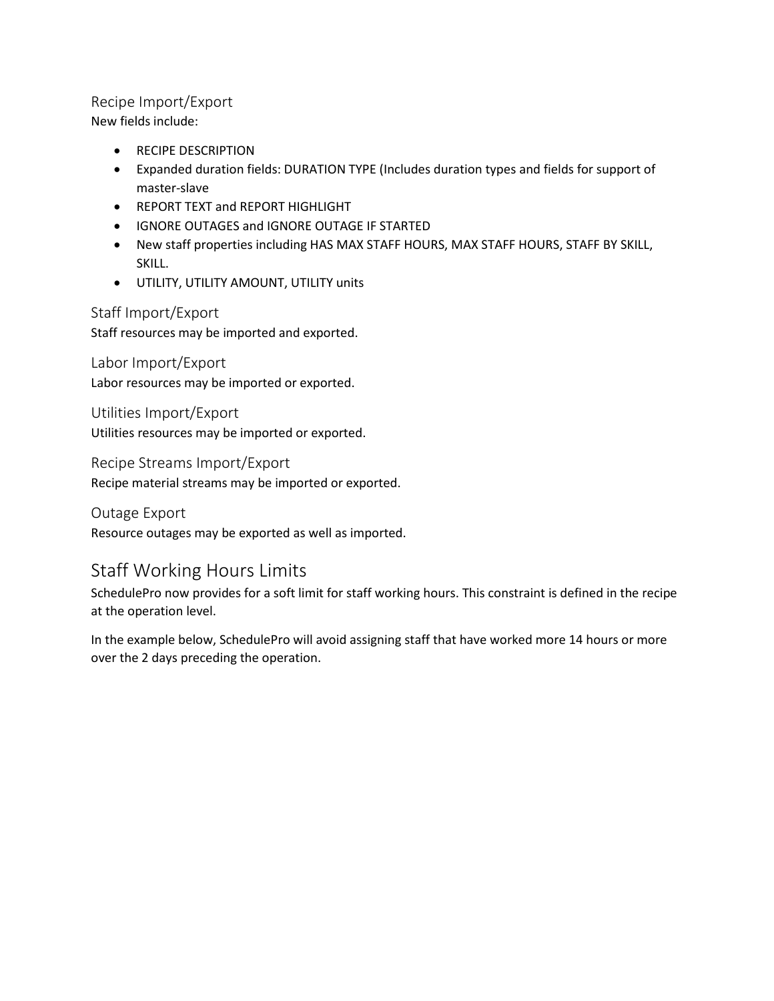#### <span id="page-1-0"></span>Recipe Import/Export

New fields include:

- RECIPE DESCRIPTION
- Expanded duration fields: DURATION TYPE (Includes duration types and fields for support of master-slave
- REPORT TEXT and REPORT HIGHLIGHT
- IGNORE OUTAGES and IGNORE OUTAGE IF STARTED
- New staff properties including HAS MAX STAFF HOURS, MAX STAFF HOURS, STAFF BY SKILL, SKILL.
- UTILITY, UTILITY AMOUNT, UTILITY units

#### <span id="page-1-1"></span>Staff Import/Export

Staff resources may be imported and exported.

#### <span id="page-1-2"></span>Labor Import/Export Labor resources may be imported or exported.

<span id="page-1-3"></span>Utilities Import/Export

Utilities resources may be imported or exported.

<span id="page-1-4"></span>Recipe Streams Import/Export

Recipe material streams may be imported or exported.

Outage Export Resource outages may be exported as well as imported.

# <span id="page-1-5"></span>Staff Working Hours Limits

SchedulePro now provides for a soft limit for staff working hours. This constraint is defined in the recipe at the operation level.

In the example below, SchedulePro will avoid assigning staff that have worked more 14 hours or more over the 2 days preceding the operation.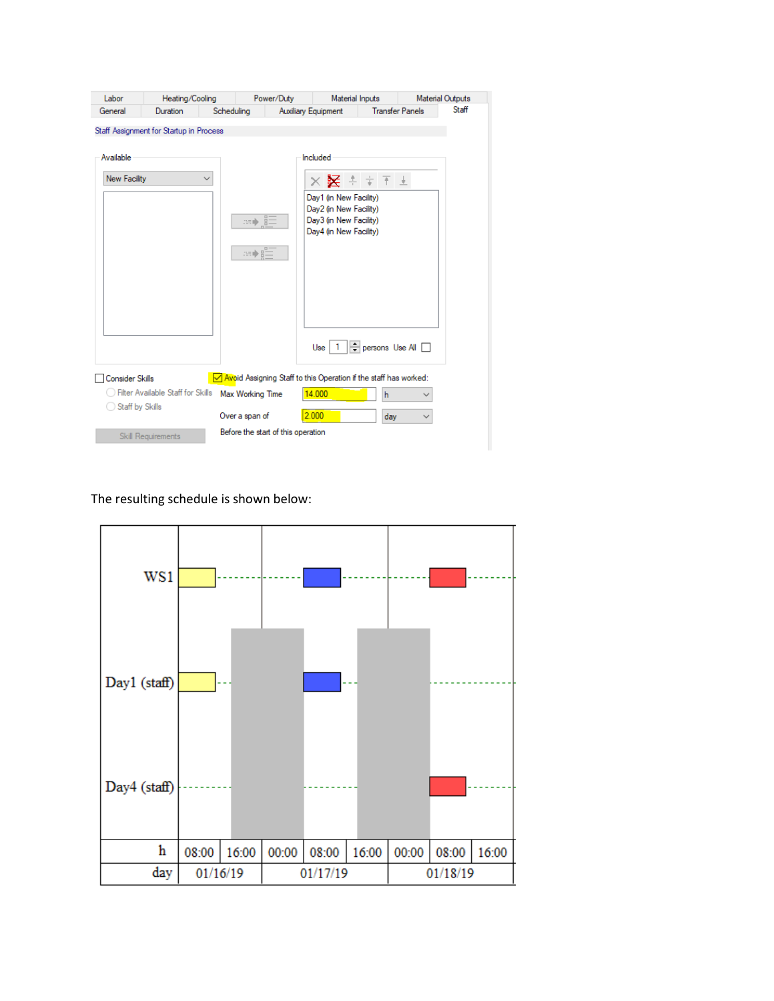| Labor                            | Heating/Cooling                                         |                                    | Power/Duty                 | Material Inputs                                                                                                                                  |                        | <b>Material Outputs</b> |
|----------------------------------|---------------------------------------------------------|------------------------------------|----------------------------|--------------------------------------------------------------------------------------------------------------------------------------------------|------------------------|-------------------------|
| General                          | Duration                                                | Scheduling                         | <b>Auxiliary Equipment</b> |                                                                                                                                                  | <b>Transfer Panels</b> | Staff                   |
| Available<br><b>New Facility</b> | Staff Assignment for Startup in Process<br>$\checkmark$ | m) s<br>æ♪Ë                        | Included                   | $\times$ $\times$ $+$ $+$ $+$ $-$<br>Day1 (in New Facility)<br>Day2 (in New Facility)<br>Day3 (in New Facility)<br>Day4 (in New Facility)<br>Use | persons Use All        |                         |
| <b>Consider Skills</b>           |                                                         |                                    |                            | Novoid Assigning Staff to this Operation if the staff has worked:                                                                                |                        |                         |
|                                  | <b>Filter Available Staff for Skills</b>                | Max Working Time                   | 14.000                     |                                                                                                                                                  | h                      |                         |
| Staff by Skills                  |                                                         | Over a span of                     | 2.000                      |                                                                                                                                                  | day                    |                         |
|                                  | Skill Requirements                                      | Before the start of this operation |                            |                                                                                                                                                  |                        |                         |

The resulting schedule is shown below:

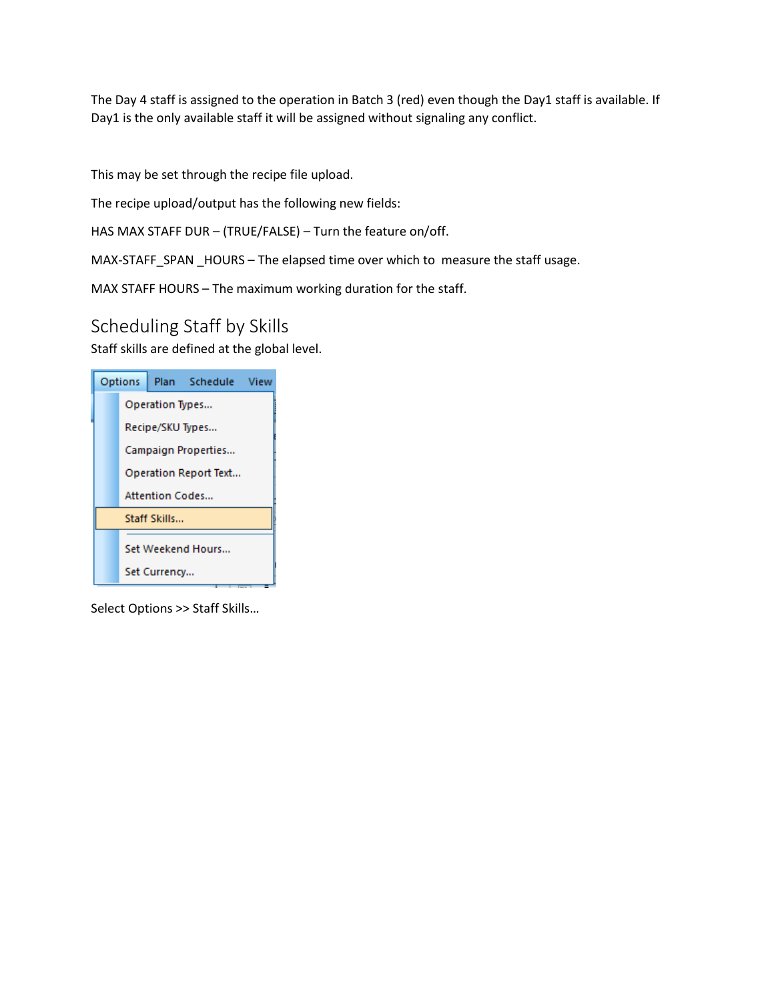The Day 4 staff is assigned to the operation in Batch 3 (red) even though the Day1 staff is available. If Day1 is the only available staff it will be assigned without signaling any conflict.

This may be set through the recipe file upload.

The recipe upload/output has the following new fields:

HAS MAX STAFF DUR – (TRUE/FALSE) – Turn the feature on/off.

MAX-STAFF\_SPAN \_HOURS – The elapsed time over which to measure the staff usage.

MAX STAFF HOURS – The maximum working duration for the staff.

#### <span id="page-3-0"></span>Scheduling Staff by Skills

Staff skills are defined at the global level.

| <b>Options</b>   |                        | Plan Schedule View    |  |
|------------------|------------------------|-----------------------|--|
|                  | Operation Types        |                       |  |
| Recipe/SKU Types |                        |                       |  |
|                  |                        | Campaign Properties   |  |
|                  |                        | Operation Report Text |  |
|                  | <b>Attention Codes</b> |                       |  |
|                  | Staff Skills           |                       |  |
|                  |                        | Set Weekend Hours     |  |
|                  | Set Currency           |                       |  |

Select Options >> Staff Skills…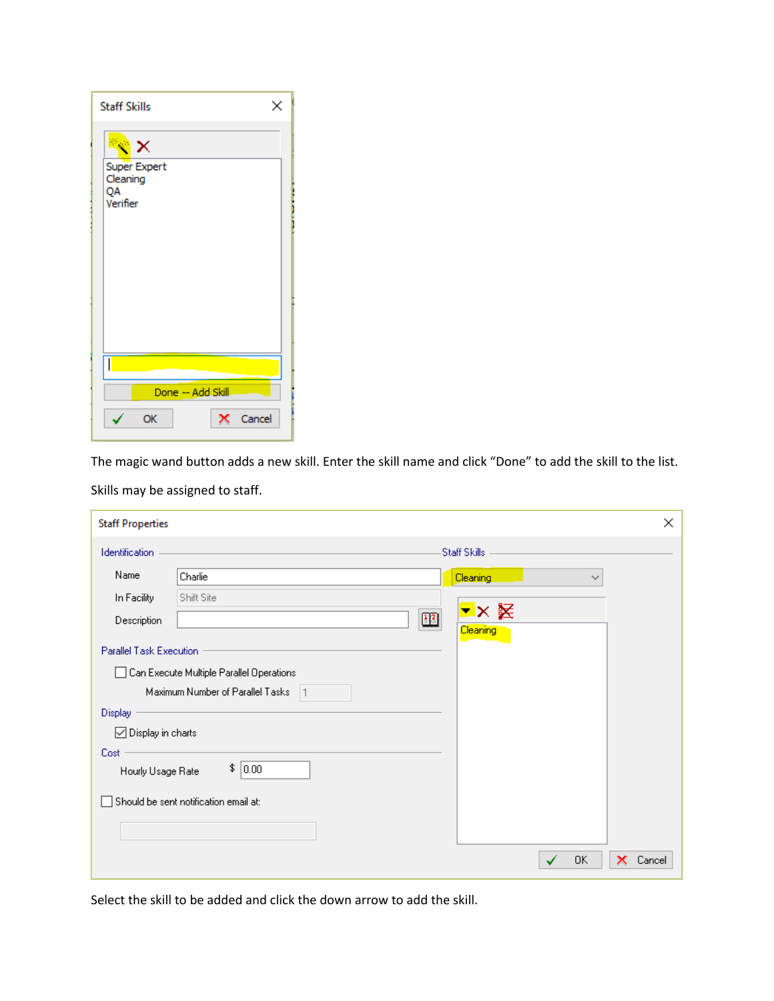| <b>Staff Skills</b><br>×                                            |   |
|---------------------------------------------------------------------|---|
| $\boldsymbol{\times}$<br>Super Expert<br>Cleaning<br>QA<br>Verifier | j |
| I<br>Done -- Add Skill<br>Cancel<br>OK                              |   |

The magic wand button adds a new skill. Enter the skill name and click "Done" to add the skill to the list. Skills may be assigned to staff.

| <b>Staff Properties</b> |                                          |                 | ×           |
|-------------------------|------------------------------------------|-----------------|-------------|
| <b>Identification</b>   |                                          | Staff Skills    |             |
| Name                    | Charlie                                  | Cleaning<br>∨   |             |
| In Facility             | Shift Site                               |                 |             |
| Description             | $\boxed{12}$                             | <b>Cleaning</b> |             |
| Parallel Task Execution |                                          |                 |             |
|                         | Can Execute Multiple Parallel Operations |                 |             |
|                         | Maximum Number of Parallel Tasks<br> 1   |                 |             |
| Display                 |                                          |                 |             |
| □ Display in charts     |                                          |                 |             |
| Cost                    |                                          |                 |             |
| Hourly Usage Rate       | \$<br>$\vert 0.00 \vert$                 |                 |             |
|                         | Should be sent notification email at:    |                 |             |
|                         |                                          |                 |             |
|                         |                                          |                 |             |
|                         |                                          | 0K              | Cancel<br>x |

Select the skill to be added and click the down arrow to add the skill.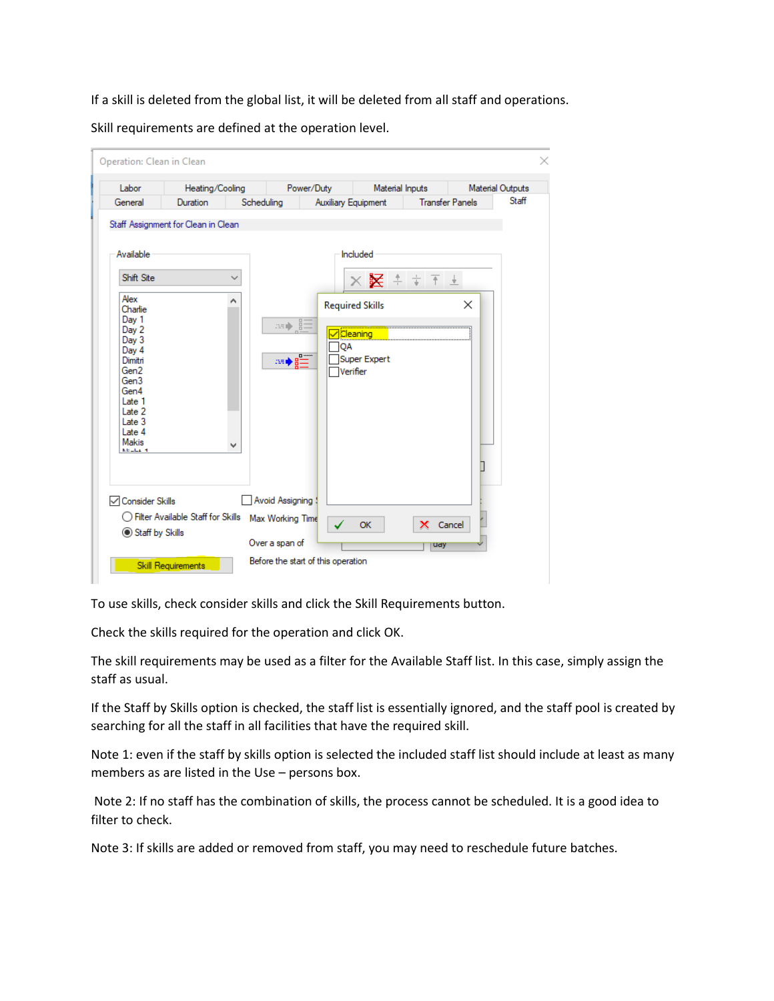If a skill is deleted from the global list, it will be deleted from all staff and operations.

Skill requirements are defined at the operation level.

| Labor                                                                                                                                                                                                          | Heating/Cooling                     |                   | Power/Duty                          |                                                             | Material Inputs          |                                   |                        | <b>Material Outputs</b> |
|----------------------------------------------------------------------------------------------------------------------------------------------------------------------------------------------------------------|-------------------------------------|-------------------|-------------------------------------|-------------------------------------------------------------|--------------------------|-----------------------------------|------------------------|-------------------------|
| General                                                                                                                                                                                                        | Duration                            | Scheduling        |                                     | <b>Auxiliary Equipment</b>                                  |                          |                                   | <b>Transfer Panels</b> | Staff                   |
| Available<br>Shift Site<br>Alex<br>Charlie<br>Day 1<br>Dav <sub>2</sub><br>Day 3<br>Day 4<br>Dimitri<br>Gen <sub>2</sub><br>Gen3<br>Gen4<br>Late 1<br>Late 2<br>Late 3<br>Late 4<br><b>Makis</b><br>Mitchell 4 | Staff Assignment for Clean in Clean | $\checkmark$<br>۸ | so) s<br>ne d                       | <b>Required Skills</b><br><b>Cleaning</b><br>OA<br>Verifier | Included<br>Super Expert | $\times$ $\times$ $+$ $+$ $+$ $-$ | X                      |                         |
| <b>√Consider Skills</b>                                                                                                                                                                                        | ◯ Filter Available Staff for Skills |                   | Avoid Assigning<br>Max Working Time |                                                             | OK                       | X Cancel                          |                        |                         |

To use skills, check consider skills and click the Skill Requirements button.

Check the skills required for the operation and click OK.

The skill requirements may be used as a filter for the Available Staff list. In this case, simply assign the staff as usual.

If the Staff by Skills option is checked, the staff list is essentially ignored, and the staff pool is created by searching for all the staff in all facilities that have the required skill.

Note 1: even if the staff by skills option is selected the included staff list should include at least as many members as are listed in the Use – persons box.

Note 2: If no staff has the combination of skills, the process cannot be scheduled. It is a good idea to filter to check.

Note 3: If skills are added or removed from staff, you may need to reschedule future batches.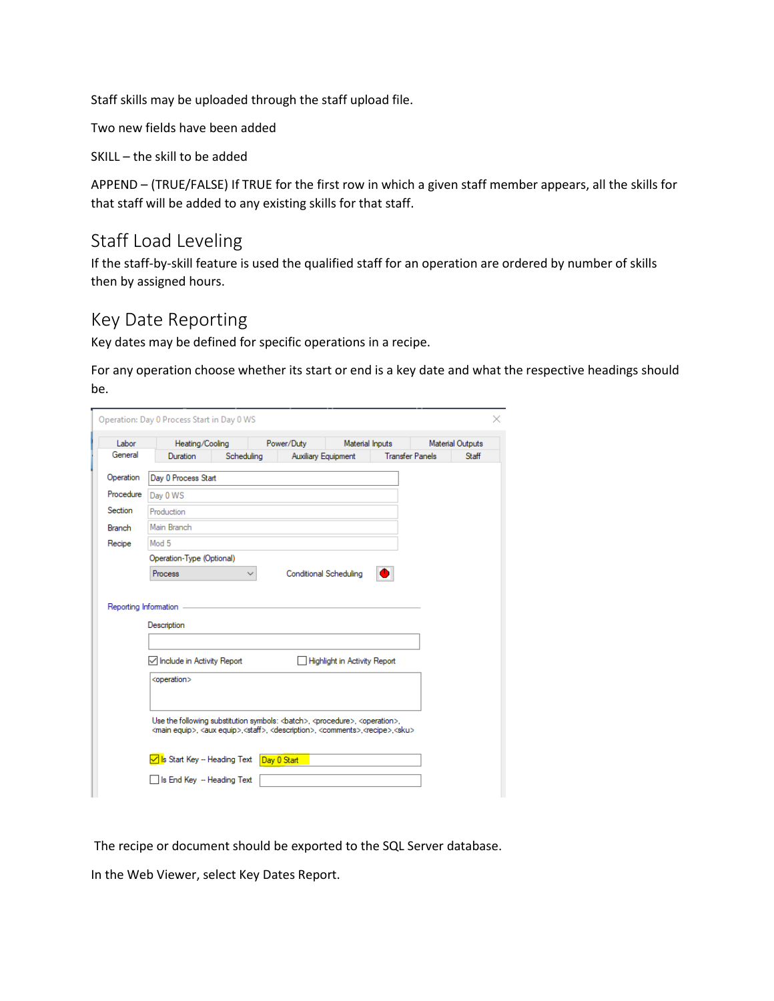Staff skills may be uploaded through the staff upload file.

Two new fields have been added

SKILL – the skill to be added

APPEND – (TRUE/FALSE) If TRUE for the first row in which a given staff member appears, all the skills for that staff will be added to any existing skills for that staff.

#### <span id="page-6-0"></span>Staff Load Leveling

If the staff-by-skill feature is used the qualified staff for an operation are ordered by number of skills then by assigned hours.

#### <span id="page-6-1"></span>Key Date Reporting

Key dates may be defined for specific operations in a recipe.

For any operation choose whether its start or end is a key date and what the respective headings should be.

| Labor         | Heating/Cooling                                                                                                                                                                                                                                         |              | Power/Duty                    | Material Inputs                     |                        | <b>Material Outputs</b> |
|---------------|---------------------------------------------------------------------------------------------------------------------------------------------------------------------------------------------------------------------------------------------------------|--------------|-------------------------------|-------------------------------------|------------------------|-------------------------|
| General       | Duration                                                                                                                                                                                                                                                | Scheduling   | <b>Auxiliary Equipment</b>    |                                     | <b>Transfer Panels</b> | Staff                   |
| Operation     | Day 0 Process Start                                                                                                                                                                                                                                     |              |                               |                                     |                        |                         |
| Procedure     | Day 0 WS                                                                                                                                                                                                                                                |              |                               |                                     |                        |                         |
| Section       | Production                                                                                                                                                                                                                                              |              |                               |                                     |                        |                         |
| <b>Branch</b> | Main Branch                                                                                                                                                                                                                                             |              |                               |                                     |                        |                         |
| Recipe        | Mod 5                                                                                                                                                                                                                                                   |              |                               |                                     |                        |                         |
|               | Operation-Type (Optional)                                                                                                                                                                                                                               |              |                               |                                     |                        |                         |
|               |                                                                                                                                                                                                                                                         |              |                               |                                     |                        |                         |
|               | Process<br>Reporting Information                                                                                                                                                                                                                        | $\checkmark$ | <b>Conditional Scheduling</b> |                                     |                        |                         |
|               | Description                                                                                                                                                                                                                                             |              |                               |                                     |                        |                         |
|               | Include in Activity Report<br><operation></operation>                                                                                                                                                                                                   |              |                               | <b>Highlight in Activity Report</b> |                        |                         |
|               | Use the following substitution symbols:<br>batch>, <procedure>, <operation>,<br/><main equip="">, <aux equip="">,<staff>, <description>, <comments>,<recipe>,<sku></sku></recipe></comments></description></staff></aux></main></operation></procedure> |              |                               |                                     |                        |                         |

The recipe or document should be exported to the SQL Server database.

In the Web Viewer, select Key Dates Report.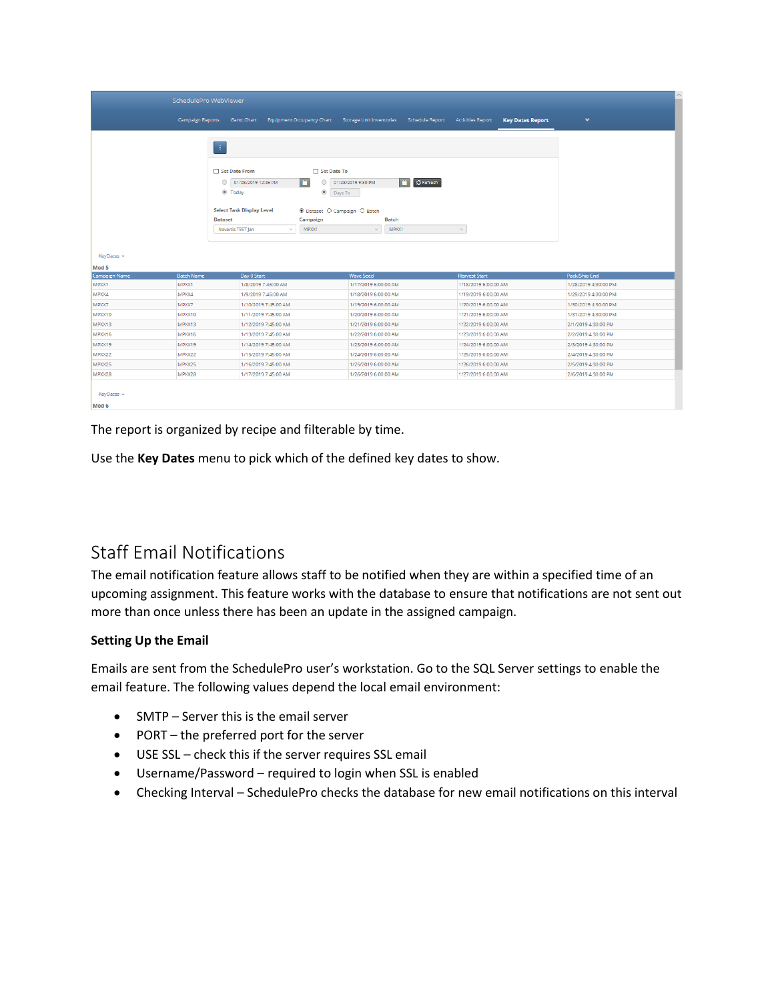|                                | SchedulePro WebViewer           |                                                                                                                           |                                                                                                                  |                                                                    |                       |                          |                         |                      |  |
|--------------------------------|---------------------------------|---------------------------------------------------------------------------------------------------------------------------|------------------------------------------------------------------------------------------------------------------|--------------------------------------------------------------------|-----------------------|--------------------------|-------------------------|----------------------|--|
|                                | <b>Campaign Reports</b>         | <b>Gantt Chart</b>                                                                                                        |                                                                                                                  | Equipment Occupancy Chart Storage Unit Inventories Schedule Report |                       | <b>Activities Report</b> | <b>Key Dates Report</b> | $\checkmark$         |  |
|                                | Œ,<br>$\circ$<br><b>Dataset</b> | Set Date From<br>01/08/2019 12:45 PM<br><b>I</b> Today<br><b>Select Task Display Level</b><br>Novartis TEST Jan<br>$\sim$ | Set Date To<br>i in<br>$\circ$<br>$\circledcirc$<br>Days To<br>⊙ Dataset O Campaign O Batch<br>Campaign<br>MPXX1 | 01/28/2019 9:30 PM<br><b>Batch</b><br>MPXX1<br>$\mathcal{A}$       | <b>C</b> Refresh<br>n | $\mathcal{L}$            |                         |                      |  |
| KeyDates +                     |                                 |                                                                                                                           |                                                                                                                  |                                                                    |                       |                          |                         |                      |  |
| Mod 5<br>Campaign Name         | <b>Batch Name</b>               | Day 0 Start                                                                                                               |                                                                                                                  | <b>Wave Seed</b>                                                   |                       | <b>Harvest Start</b>     |                         | Pack/Ship End        |  |
| MPXX1                          | MPXX1                           | 1/8/2019 7:45:00 AM                                                                                                       |                                                                                                                  | 1/17/2019 6:00:00 AM                                               |                       | 1/18/2019 6:00:00 AM     |                         | 1/28/2019 4:30:00 PM |  |
| MPXX4                          | MPXX4                           | 1/9/2019 7:45:00 AM                                                                                                       |                                                                                                                  | 1/18/2019 6:00:00 AM                                               |                       | 1/19/2019 6:00:00 AM     |                         | 1/29/2019 4:30:00 PM |  |
| MPXX7                          | MPXX7                           | 1/10/2019 7:45:00 AM                                                                                                      |                                                                                                                  | 1/19/2019 6:00:00 AM                                               |                       | 1/20/2019 6:00:00 AM     |                         | 1/30/2019 4:30:00 PM |  |
| MPXX10                         | MPXX10                          | 1/11/2019 7:45:00 AM                                                                                                      |                                                                                                                  | 1/20/2019 6:00:00 AM                                               |                       | 1/21/2019 6:00:00 AM     |                         | 1/31/2019 4:30:00 PM |  |
| MPXX13                         | MPXX13                          | 1/12/2019 7:45:00 AM                                                                                                      |                                                                                                                  | 1/21/2019 6:00:00 AM                                               |                       | 1/22/2019 6:00:00 AM     |                         | 2/1/2019 4:30:00 PM  |  |
| MPXX16                         | <b>MPXX16</b>                   | 1/13/2019 7:45:00 AM                                                                                                      |                                                                                                                  | 1/22/2019 6:00:00 AM                                               |                       | 1/23/2019 6:00:00 AM     |                         | 2/2/2019 4:30:00 PM  |  |
| MPXX19                         | MPXX19                          | 1/14/2019 7:45:00 AM                                                                                                      |                                                                                                                  | 1/23/2019 6:00:00 AM                                               |                       | 1/24/2019 6:00:00 AM     |                         | 2/3/2019 4:30:00 PM  |  |
| MPXX22                         | MPXX22                          | 1/15/2019 7:45:00 AM                                                                                                      |                                                                                                                  | 1/24/2019 6:00:00 AM                                               |                       | 1/25/2019 6:00:00 AM     |                         | 2/4/2019 4:30:00 PM  |  |
| MPXX25                         | MPXX25                          | 1/16/2019 7:45:00 AM                                                                                                      |                                                                                                                  | 1/25/2019 6:00:00 AM                                               |                       | 1/26/2019 6:00:00 AM     |                         | 2/5/2019 4:30:00 PM  |  |
| MPXX28                         | MPXX28                          | 1/17/2019 7:45:00 AM                                                                                                      |                                                                                                                  | 1/26/2019 6:00:00 AM                                               |                       | 1/27/2019 6:00:00 AM     |                         | 2/6/2019 4:30:00 PM  |  |
| KeyDates -<br>Mod <sub>6</sub> |                                 |                                                                                                                           |                                                                                                                  |                                                                    |                       |                          |                         |                      |  |

The report is organized by recipe and filterable by time.

Use the **Key Dates** menu to pick which of the defined key dates to show.

#### <span id="page-7-0"></span>Staff Email Notifications

The email notification feature allows staff to be notified when they are within a specified time of an upcoming assignment. This feature works with the database to ensure that notifications are not sent out more than once unless there has been an update in the assigned campaign.

#### **Setting Up the Email**

Emails are sent from the SchedulePro user's workstation. Go to the SQL Server settings to enable the email feature. The following values depend the local email environment:

- SMTP Server this is the email server
- PORT the preferred port for the server
- USE SSL check this if the server requires SSL email
- Username/Password required to login when SSL is enabled
- Checking Interval SchedulePro checks the database for new email notifications on this interval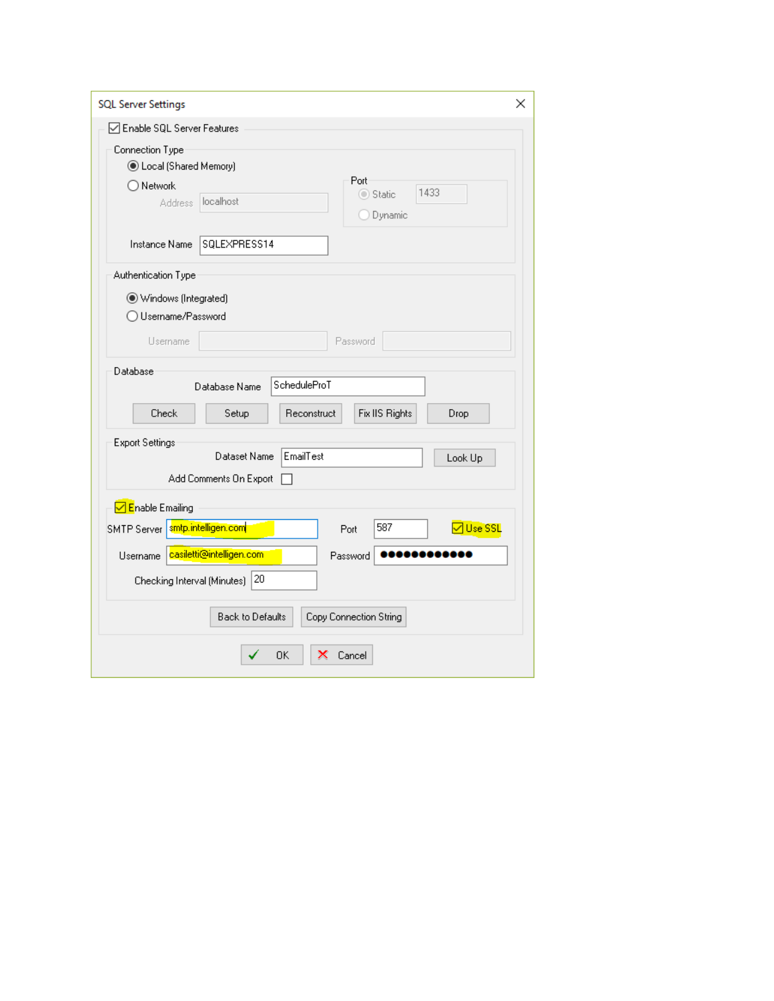| <b>SQL Server Settings</b><br>×                            |
|------------------------------------------------------------|
| □ Enable SQL Server Features                               |
| Connection Type                                            |
| <b>C</b> Local (Shared Memory)                             |
| Port<br>$\bigcirc$ Network<br>1433<br>◯ Static             |
| localhost<br><b>Address</b><br>O Dynamic                   |
|                                                            |
| SQLEXPRESS14<br>Instance Name                              |
| Authentication Type                                        |
| Windows (Integrated)                                       |
| ◯ Username/Password                                        |
| Password<br>Username                                       |
| Database                                                   |
| ScheduleProT<br>Database Name                              |
| Fix IIS Rights<br>Check<br>Reconstruct<br>Setup<br>Drop    |
| <b>Export Settings</b>                                     |
| EmailTest<br>Dataset Name<br>Look Up                       |
| Add Comments On Export                                     |
| <mark>√ E</mark> nable Emailing                            |
| SMTP Server smtp.intelligen.com<br>587<br>기Use SSL<br>Port |
|                                                            |
| casiletti@intelligen.com<br>Username<br>Password           |
| Checking Interval (Minutes) 20                             |
| <b>Back to Defaults</b><br>Copy Connection String          |
| OΚ<br>x<br>Cancel                                          |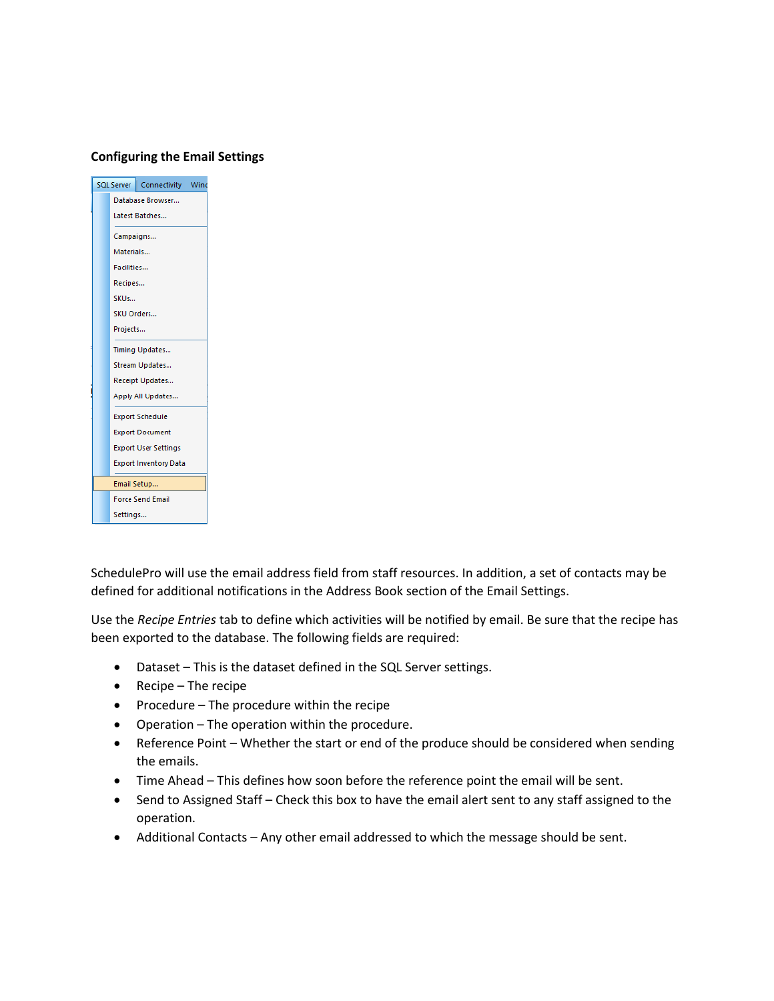#### **Configuring the Email Settings**

|            | SQL Server   Connectivity Wind |  |
|------------|--------------------------------|--|
|            | Database Browser               |  |
|            | Latest Batches                 |  |
| Campaigns  |                                |  |
| Materials  |                                |  |
| Facilities |                                |  |
| Recipes    |                                |  |
| SKUs       |                                |  |
| SKU Orders |                                |  |
| Projects   |                                |  |
|            | Timing Updates                 |  |
|            | Stream Updates                 |  |
|            | Receipt Updates                |  |
|            | Apply All Updates              |  |
|            | <b>Export Schedule</b>         |  |
|            | <b>Export Document</b>         |  |
|            | <b>Export User Settings</b>    |  |
|            | <b>Export Inventory Data</b>   |  |
|            | Email Setup                    |  |
|            | <b>Force Send Email</b>        |  |
| Settings   |                                |  |

SchedulePro will use the email address field from staff resources. In addition, a set of contacts may be defined for additional notifications in the Address Book section of the Email Settings.

Use the *Recipe Entries* tab to define which activities will be notified by email. Be sure that the recipe has been exported to the database. The following fields are required:

- Dataset This is the dataset defined in the SQL Server settings.
- Recipe The recipe
- Procedure The procedure within the recipe
- Operation The operation within the procedure.
- Reference Point Whether the start or end of the produce should be considered when sending the emails.
- Time Ahead This defines how soon before the reference point the email will be sent.
- Send to Assigned Staff Check this box to have the email alert sent to any staff assigned to the operation.
- Additional Contacts Any other email addressed to which the message should be sent.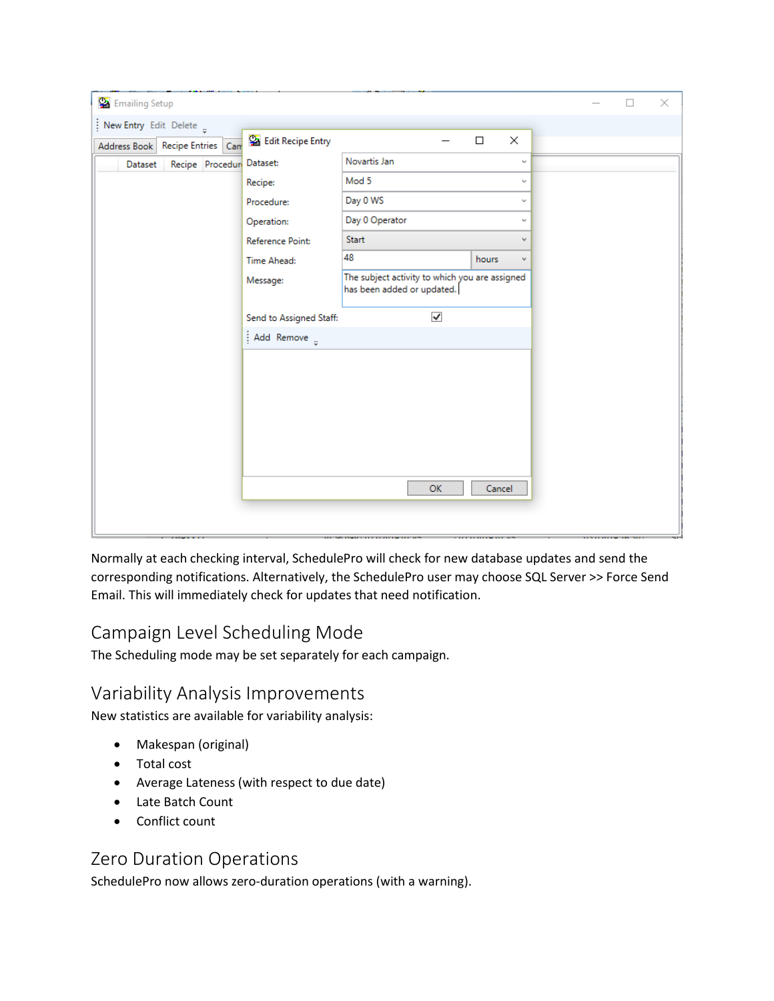| Emailing Setup                      |                          |                                                                              |                            |          |  | $\Box$                          | × |
|-------------------------------------|--------------------------|------------------------------------------------------------------------------|----------------------------|----------|--|---------------------------------|---|
| New Entry Edit Delete $\frac{1}{7}$ |                          |                                                                              |                            |          |  |                                 |   |
| Address Book   Recipe Entries   Can | <b>Edit Recipe Entry</b> |                                                                              | $\Box$                     | $\times$ |  |                                 |   |
| Recipe Procedur Dataset:<br>Dataset |                          | Novartis Jan                                                                 |                            | v        |  |                                 |   |
|                                     | Recipe:                  | Mod 5                                                                        |                            | v        |  |                                 |   |
|                                     | Procedure:               | Day 0 WS                                                                     |                            | ν        |  |                                 |   |
|                                     | Operation:               | Day 0 Operator                                                               |                            | ν        |  |                                 |   |
|                                     | Reference Point:         | Start                                                                        |                            | v        |  |                                 |   |
|                                     | Time Ahead:              | 48                                                                           | hours                      | v        |  |                                 |   |
|                                     | Message:                 | The subject activity to which you are assigned<br>has been added or updated. |                            |          |  |                                 |   |
|                                     | Send to Assigned Staff:  | $\checkmark$                                                                 |                            |          |  |                                 |   |
|                                     | Add Remove $_{z}$        |                                                                              |                            |          |  |                                 |   |
|                                     |                          |                                                                              |                            |          |  |                                 |   |
|                                     |                          |                                                                              |                            |          |  |                                 |   |
|                                     |                          |                                                                              |                            |          |  |                                 |   |
|                                     |                          |                                                                              |                            |          |  |                                 |   |
|                                     |                          |                                                                              |                            |          |  |                                 |   |
|                                     |                          |                                                                              |                            |          |  |                                 |   |
|                                     |                          | <b>OK</b>                                                                    | Cancel                     |          |  |                                 |   |
|                                     |                          |                                                                              |                            |          |  |                                 |   |
|                                     |                          |                                                                              |                            |          |  |                                 |   |
|                                     |                          |                                                                              | <b>THE REPORT OF A 200</b> |          |  | <b>LENGTH ALLEN DESCRIPTION</b> |   |

Normally at each checking interval, SchedulePro will check for new database updates and send the corresponding notifications. Alternatively, the SchedulePro user may choose SQL Server >> Force Send Email. This will immediately check for updates that need notification.

#### <span id="page-10-0"></span>Campaign Level Scheduling Mode

The Scheduling mode may be set separately for each campaign.

#### <span id="page-10-1"></span>Variability Analysis Improvements

New statistics are available for variability analysis:

- Makespan (original)
- Total cost
- Average Lateness (with respect to due date)
- Late Batch Count
- Conflict count

#### <span id="page-10-2"></span>Zero Duration Operations

SchedulePro now allows zero-duration operations (with a warning).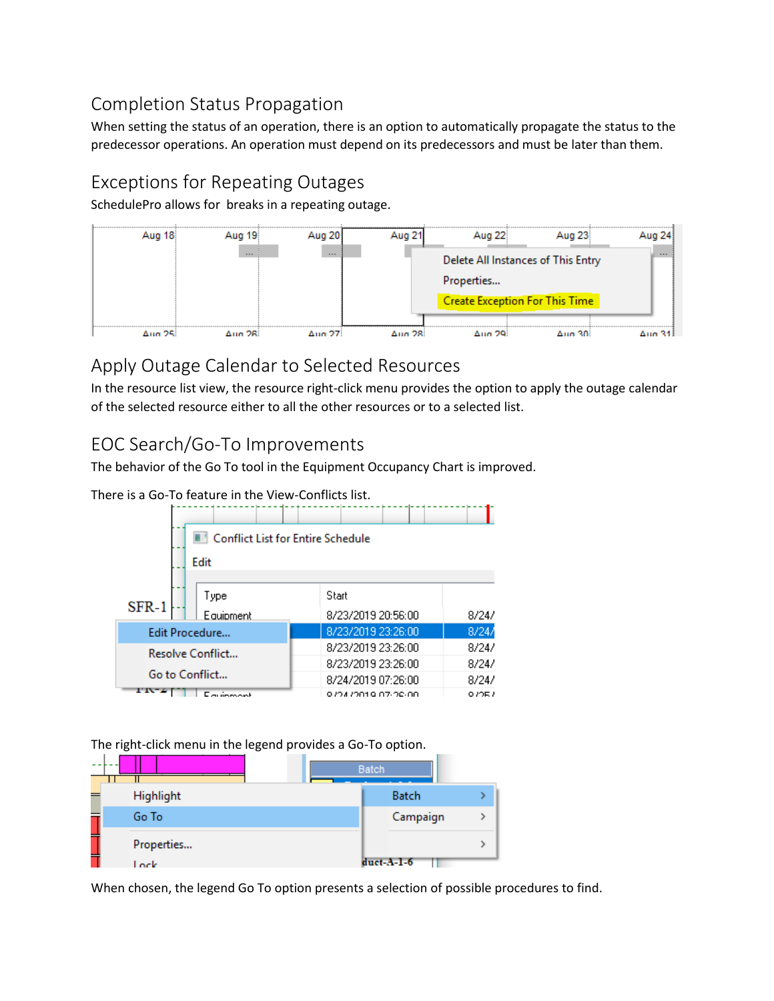## <span id="page-11-0"></span>Completion Status Propagation

When setting the status of an operation, there is an option to automatically propagate the status to the predecessor operations. An operation must depend on its predecessors and must be later than them.

# <span id="page-11-1"></span>Exceptions for Repeating Outages

SchedulePro allows for breaks in a repeating outage.



## <span id="page-11-2"></span>Apply Outage Calendar to Selected Resources

In the resource list view, the resource right-click menu provides the option to apply the outage calendar of the selected resource either to all the other resources or to a selected list.

# <span id="page-11-3"></span>EOC Search/Go-To Improvements

The behavior of the Go To tool in the Equipment Occupancy Chart is improved.

There is a Go-To feature in the View-Conflicts list.

|                  | <b>Conflict List for Entire Schedule</b> |                        |       |
|------------------|------------------------------------------|------------------------|-------|
|                  | Edit                                     |                        |       |
|                  |                                          |                        |       |
| $SFR-1$          | Type                                     | Start                  |       |
|                  | Equipment                                | 8/23/2019 20:56:00     | 8/24/ |
| Edit Procedure   |                                          | 8/23/2019 23:26:00     | 8/24/ |
| Resolve Conflict |                                          | 8/23/2019 23:26:00     | 8/24/ |
|                  |                                          | 8/23/2019 23:26:00     | 8/24/ |
| Go to Conflict   |                                          | 8/24/2019 07:26:00     | 8/24/ |
|                  |                                          | O 704 7001 Q 07-00-00. | 072E7 |

The right-click menu in the legend provides a Go-To option.

| - -<br>--- |            | <b>Batch</b> |  |
|------------|------------|--------------|--|
|            | Highlight  | <b>Batch</b> |  |
|            | Go To      | Campaign     |  |
|            | Properties |              |  |
|            | Lock       | $duct-A-1-6$ |  |

When chosen, the legend Go To option presents a selection of possible procedures to find.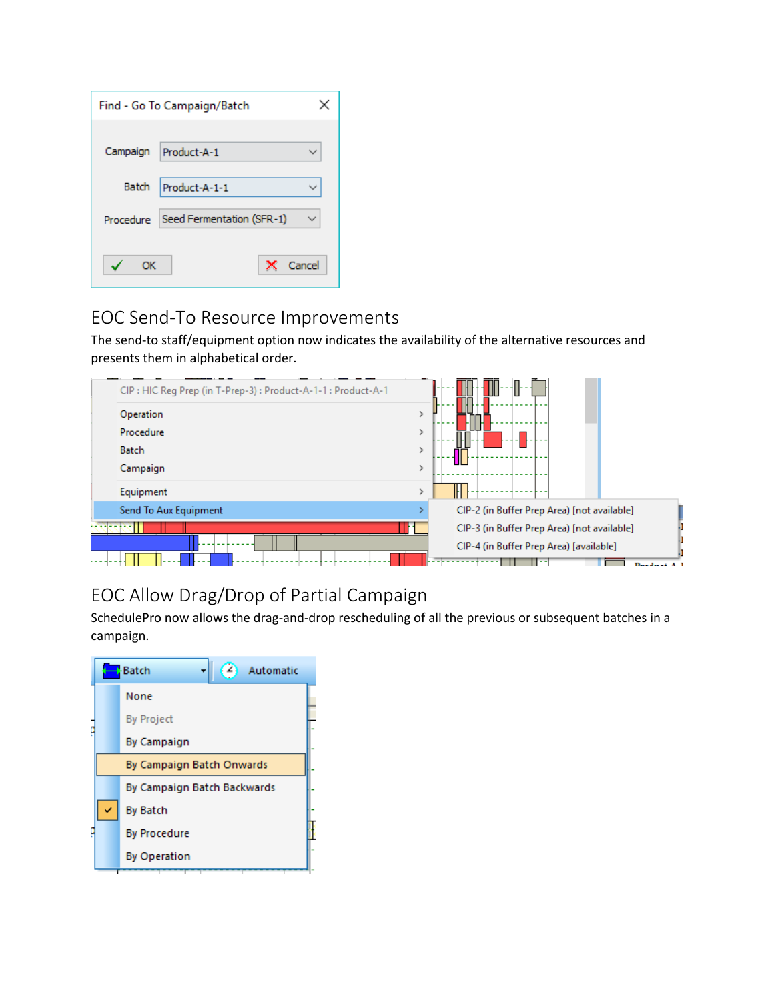|           | Find - Go To Campaign/Batch | x      |
|-----------|-----------------------------|--------|
|           |                             |        |
| Campaign  | Product-A-1                 |        |
| Batch     | Product-A-1-1               |        |
| Procedure | Seed Fermentation (SFR-1)   |        |
| OК        |                             | Cancel |

## <span id="page-12-0"></span>EOC Send-To Resource Improvements

The send-to staff/equipment option now indicates the availability of the alternative resources and presents them in alphabetical order.



# <span id="page-12-1"></span>EOC Allow Drag/Drop of Partial Campaign

SchedulePro now allows the drag-and-drop rescheduling of all the previous or subsequent batches in a campaign.

|  | <b>Batch</b><br>Automatic   |  |
|--|-----------------------------|--|
|  | None                        |  |
|  | <b>By Project</b>           |  |
|  | <b>By Campaign</b>          |  |
|  | By Campaign Batch Onwards   |  |
|  | By Campaign Batch Backwards |  |
|  | <b>By Batch</b>             |  |
|  | <b>By Procedure</b>         |  |
|  | <b>By Operation</b>         |  |
|  |                             |  |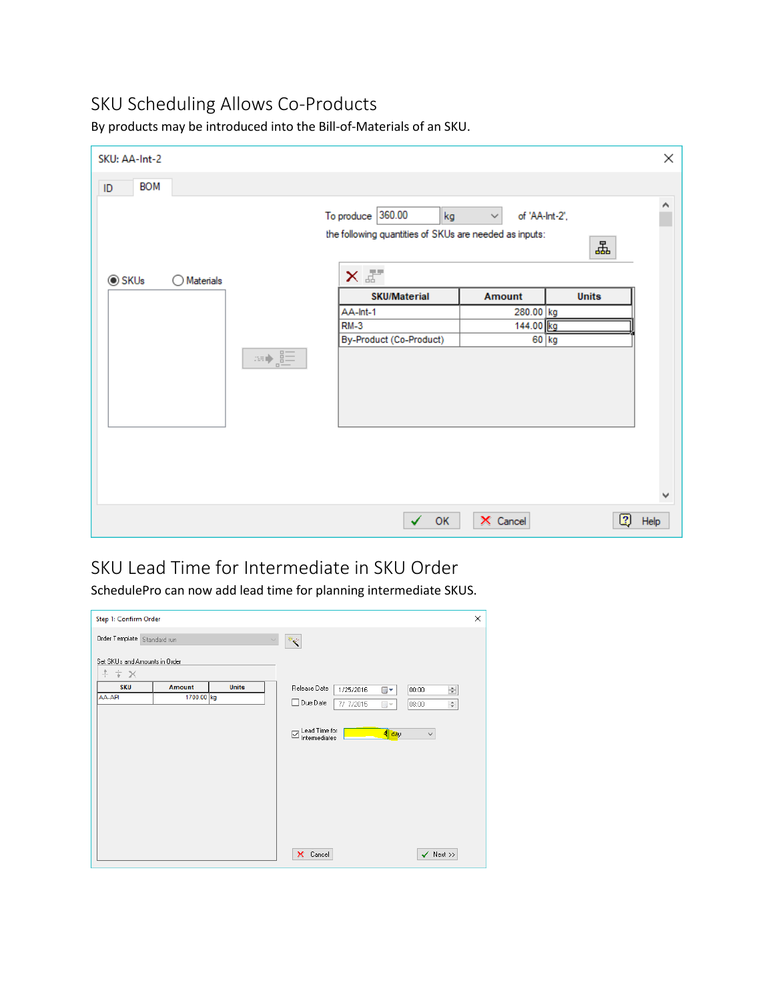## <span id="page-13-0"></span>SKU Scheduling Allows Co-Products

| SKU: AA-Int-2    |                      |                      |                                                                                     |                                |              | ×    |
|------------------|----------------------|----------------------|-------------------------------------------------------------------------------------|--------------------------------|--------------|------|
| <b>BOM</b><br>ID |                      |                      |                                                                                     |                                |              |      |
|                  |                      |                      | To produce $360.00$<br>kg<br>the following quantities of SKUs are needed as inputs: | of 'AA-Int-2',<br>$\checkmark$ | Ŧ            | ٨    |
| <b>◎ SKUs</b>    | $\bigcirc$ Materials |                      | $\times$                                                                            |                                |              |      |
|                  |                      |                      | <b>SKU/Material</b>                                                                 | Amount                         | <b>Units</b> |      |
|                  |                      |                      | AA-Int-1                                                                            | 280.00 kg                      |              |      |
|                  |                      |                      | $RM-3$<br>By-Product (Co-Product)                                                   | 144.00 kg                      | $60$ kg      |      |
|                  |                      | $\equiv \frac{1}{2}$ |                                                                                     |                                |              |      |
|                  |                      |                      |                                                                                     |                                |              | ٧    |
|                  |                      |                      | OK                                                                                  | X Cancel                       | 0            | Help |

By products may be introduced into the Bill-of-Materials of an SKU.

# <span id="page-13-1"></span>SKU Lead Time for Intermediate in SKU Order

SchedulePro can now add lead time for planning intermediate SKUS.

| Step 1: Confirm Order                             |                             |              |                                                                                                                                                                           | × |
|---------------------------------------------------|-----------------------------|--------------|---------------------------------------------------------------------------------------------------------------------------------------------------------------------------|---|
| Order Template Standard run                       |                             | $\checkmark$ | $\mathcal{R}_{\mathcal{B}^{\mathcal{W}}}$                                                                                                                                 |   |
| Set SKUs and Amounts in Order<br>$+$ $+$ $\times$ |                             |              |                                                                                                                                                                           |   |
| <b>SKU</b><br>AA-API                              | <b>Amount</b><br>1700.00 kg | <b>Units</b> | Release Date<br>1/25/2016<br>$\div$<br>▥▾<br> 00:00 <br>□ Due Date<br>7/ 7/2015<br>08:00<br>$\div$<br>$\Box$<br>Lead Time for<br>$4$ day<br>$\checkmark$<br>Intermediates |   |
|                                                   |                             |              | $\checkmark$ Next >><br>X Cancel                                                                                                                                          |   |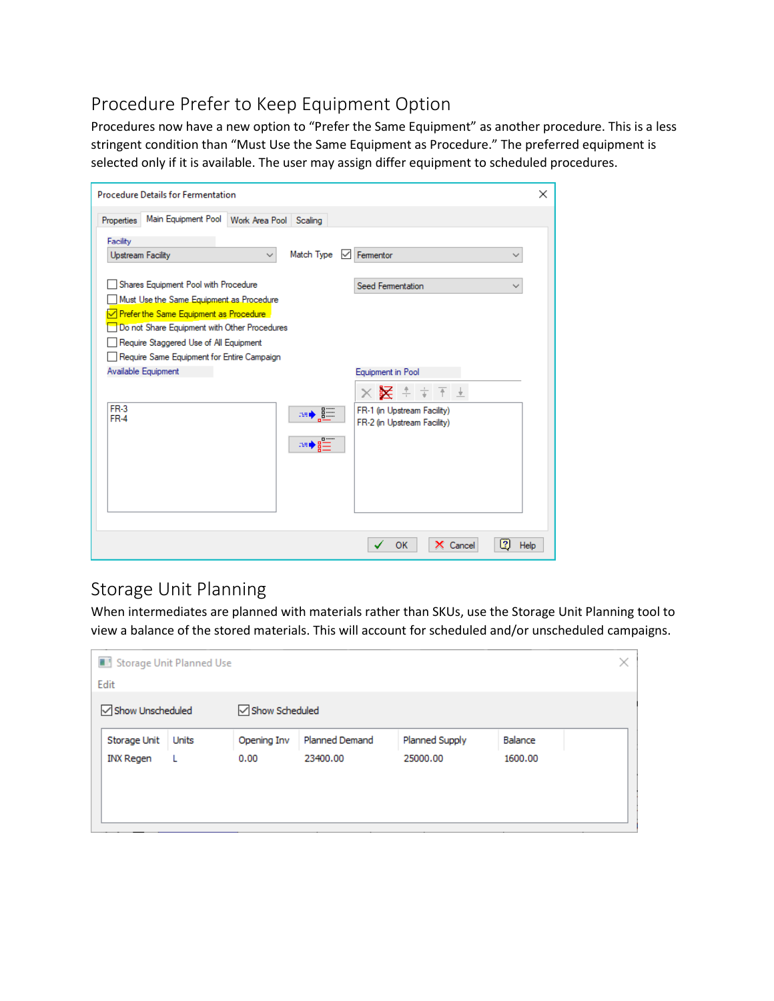## <span id="page-14-0"></span>Procedure Prefer to Keep Equipment Option

Procedures now have a new option to "Prefer the Same Equipment" as another procedure. This is a less stringent condition than "Must Use the Same Equipment as Procedure." The preferred equipment is selected only if it is available. The user may assign differ equipment to scheduled procedures.

| <b>Procedure Details for Fermentation</b>                                                                             | × |
|-----------------------------------------------------------------------------------------------------------------------|---|
| Main Equipment Pool   Work Area Pool   Scaling<br>Properties                                                          |   |
| Facility                                                                                                              |   |
| Match Type<br>Fermentor<br><b>Upstream Facility</b><br>∨<br>$\checkmark$                                              |   |
| Shares Equipment Pool with Procedure<br>Seed Fermentation<br>$\checkmark$<br>Must Use the Same Equipment as Procedure |   |
| √ Prefer the Same Equipment as Procedure<br>Do not Share Equipment with Other Procedures                              |   |
| Require Staggered Use of All Equipment                                                                                |   |
| Require Same Equipment for Entire Campaign                                                                            |   |
| Available Equipment<br>Equipment in Pool                                                                              |   |
| $\times$ $\times$ $\mathbb{Z}$ $\pm$ $\pm$ $\top$ $\pm$                                                               |   |
| <b>FR-3</b><br>FR-1 (in Upstream Facility)<br>≈t ∤≈<br>$FR-4$                                                         |   |
| FR-2 (in Upstream Facility)                                                                                           |   |
| ≫●8二                                                                                                                  |   |
|                                                                                                                       |   |
|                                                                                                                       |   |
|                                                                                                                       |   |
|                                                                                                                       |   |
| Ø<br><b>OK</b><br>X Cancel<br>Help                                                                                    |   |
|                                                                                                                       |   |

#### <span id="page-14-1"></span>Storage Unit Planning

When intermediates are planned with materials rather than SKUs, use the Storage Unit Planning tool to view a balance of the stored materials. This will account for scheduled and/or unscheduled campaigns.

|                  | Storage Unit Planned Use |                |                |                |         | × |
|------------------|--------------------------|----------------|----------------|----------------|---------|---|
| Edit             |                          |                |                |                |         |   |
| Show Unscheduled |                          | Show Scheduled |                |                |         |   |
| Storage Unit     | Units                    | Opening Inv    | Planned Demand | Planned Supply | Balance |   |
| INX Regen        | L                        | 0.00           | 23400.00       | 25000.00       | 1600.00 |   |
|                  |                          |                |                |                |         |   |
|                  |                          |                |                |                |         |   |
|                  |                          |                |                |                |         |   |